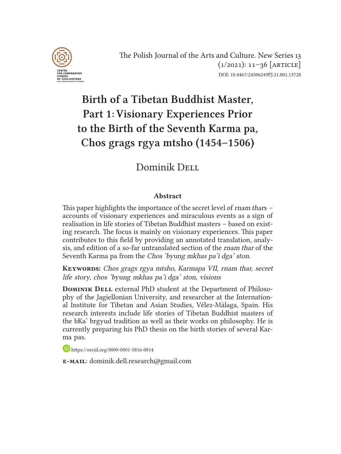

# Birth of a Tibetan Buddhist Master, Part 1: Visionary Experiences Prior to the Birth of the Seventh Karma pa, Chos grags rgya mtsho (1454–1506)

## Dominik Dell

#### Abstract

This paper highlights the importance of the secret level of rnam thars – accounts of visionary experiences and miraculous events as a sign of realisation in life stories of Tibetan Buddhist masters – based on existing research. The focus is mainly on visionary experiences. This paper contributes to this field by providing an annotated translation, analysis, and edition of a so-far untranslated section of the rnam thar of the Seventh Karma pa from the Chos 'byung mkhas pa'i dga' ston.

KEYWORDS: Chos grags rgya mtsho, Karmapa VII, rnam thar, secret life story, chos 'byung mkhas pa'i dga' ston, visions

**DOMINIK DELL** external PhD student at the Department of Philosophy of the Jagiellonian University, and researcher at the International Institute for Tibetan and Asian Studies, Vélez-Málaga, Spain. His research interests include life stories of Tibetan Buddhist masters of the bKa' brgyud tradition as well as their works on philosophy. He is currently preparing his PhD thesis on the birth stories of several Karma pas.

https://orcid.org/0000-0001-5816-0814

e-mail: dominik.dell.research@gmail.com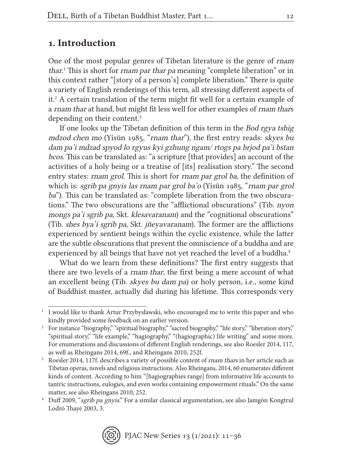## 1. Introduction

One of the most popular genres of Tibetan literature is the genre of rnam thar. 1 This is short for rnam par thar pa meaning "complete liberation" or in this context rather "[story of a person's] complete liberation." There is quite a variety of English renderings of this term, all stressing different aspects of it.2 A certain translation of the term might fit well for a certain example of a rnam thar at hand, but might fit less well for other examples of rnam thars depending on their content.3

If one looks up the Tibetan definition of this term in the Bod rgya tshig mdzod chen mo (Yísūn 1985, "rnam thar"), the first entry reads: skyes bu dam pa'i mdzad spyod lo rgyus kyi gzhung ngam/ rtogs pa brjod pa'i bstan bcos. This can be translated as: "a scripture [that provides] an account of the activities of a holy being or a treatise of [its] realisation story." The second entry states: rnam grol. This is short for rnam par grol ba, the definition of which is: sgrib pa gnyis las rnam par grol ba'o (Yísūn 1985, "rnam par grol ba"). This can be translated as: "complete liberation from the two obscurations." The two obscurations are the "afflictional obscurations" (Tib. nyon mongs pa'i sgrib pa, Skt. klesavaranam) and the "cognitional obscurations" (Tib. shes bya'i sgrib pa, Skt. jñeyavaranam). The former are the afflictions experienced by sentient beings within the cyclic existence, while the latter are the subtle obscurations that prevent the omniscience of a buddha and are experienced by all beings that have not yet reached the level of a buddha.<sup>4</sup>

What do we learn from these definitions? The first entry suggests that there are two levels of a rnam thar, the first being a mere account of what an excellent being (Tib. skyes bu dam pa) or holy person, i.e., some kind of Buddhist master, actually did during his lifetime. This corresponds very

<sup>&</sup>lt;sup>1</sup> I would like to thank Artur Przybysławski, who encouraged me to write this paper and who kindly provided some feedback on an earlier version.

<sup>&</sup>lt;sup>2</sup> For instance "biography," "spiritual biography," "sacred biography," "life story," "liberation story," "spiritual story," "life example," "hagiography," "(hagiographic) life writing" and some more. For enumerations and discussions of different English renderings, see also Roesler 2014, 117, as well as Rheingans 2014, 69f., and Rheingans 2010, 252f.<br>Roesler 2014, 117f. describes a variety of possible content of *rnam thars* in her article such as

Tibetan operas, novels and religious instructions. Also Rheingans, 2014, 60 enumerates different kinds of content. According to him "[hagiographies range] from informative life accounts to tantric instructions, eulogies, and even works containing empowerment rituals." On the same matter, see also Rheingans 2010, 252.<br><sup>4</sup> Duff 2009, "*sgrib pa gnyis*." For a similar classical argumentation, see also Jamgön Kongtrul

Lodrö Thayé 2003, 3.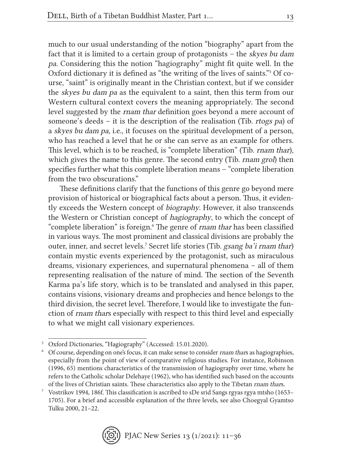much to our usual understanding of the notion "biography" apart from the fact that it is limited to a certain group of protagonists – the skyes bu dam pa. Considering this the notion "hagiography" might fit quite well. In the Oxford dictionary it is defined as "the writing of the lives of saints."5 Of course, "saint" is originally meant in the Christian context, but if we consider the skyes bu dam pa as the equivalent to a saint, then this term from our Western cultural context covers the meaning appropriately. The second level suggested by the rnam thar definition goes beyond a mere account of someone's deeds – it is the description of the realisation (Tib. rtogs pa) of a skyes bu dam pa, i.e., it focuses on the spiritual development of a person, who has reached a level that he or she can serve as an example for others. This level, which is to be reached, is "complete liberation" (Tib. rnam thar), which gives the name to this genre. The second entry (Tib. *rnam grol*) then specifies further what this complete liberation means – "complete liberation from the two obscurations."

These definitions clarify that the functions of this genre go beyond mere provision of historical or biographical facts about a person. Thus, it evidently exceeds the Western concept of biography. However, it also transcends the Western or Christian concept of hagiography, to which the concept of "complete liberation" is foreign.<sup>6</sup> The genre of rnam thar has been classified in various ways. The most prominent and classical divisions are probably the outer, inner, and secret levels.<sup>7</sup> Secret life stories (Tib. *gsang ba'i rnam thar*) contain mystic events experienced by the protagonist, such as miraculous dreams, visionary experiences, and supernatural phenomena – all of them representing realisation of the nature of mind. The section of the Seventh Karma pa's life story, which is to be translated and analysed in this paper, contains visions, visionary dreams and prophecies and hence belongs to the third division, the secret level. Therefore, I would like to investigate the function of rnam thars especially with respect to this third level and especially to what we might call visionary experiences.

<sup>5</sup> Oxford Dictionaries, "Hagiography" (Accessed: 15.01.2020).

<sup>&</sup>lt;sup>6</sup> Of course, depending on one's focus, it can make sense to consider *rnam thars* as hagiographies, especially from the point of view of comparative religious studies. For instance, Robinson (1996, 65) mentions characteristics of the transmission of hagiography over time, where he refers to the Catholic scholar Delehaye (1962), who has identified such based on the accounts of the lives of Christian saints. These characteristics also apply to the Tibetan rnam thars.

<sup>7</sup> Vostrikov 1994, 186f. This classification is ascribed to sDe srid Sangs rgyas rgya mtsho (1653– 1705). For a brief and accessible explanation of the three levels, see also Choegyal Gyamtso Tulku 2000, 21–22.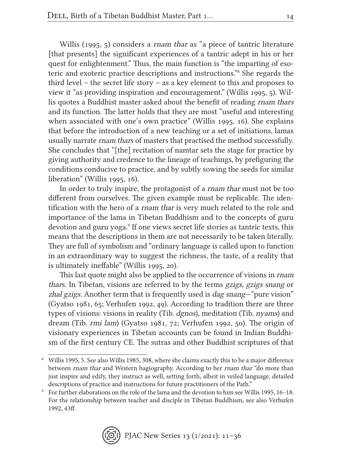Willis (1995, 5) considers a *rnam thar* as "a piece of tantric literature [that presents] the significant experiences of a tantric adept in his or her quest for enlightenment." Thus, the main function is "the imparting of esoteric and exoteric practice descriptions and instructions."8 She regards the third level – the secret life story – as a key element to this and proposes to view it "as providing inspiration and encouragement." (Willis 1995, 5). Willis quotes a Buddhist master asked about the benefit of reading rnam thars and its function. The latter holds that they are most "useful and interesting when associated with one's own practice" (Willis 1995, 16). She explains that before the introduction of a new teaching or a set of initiations, lamas usually narrate rnam thars of masters that practised the method successfully. She concludes that "[the] recitation of namtar sets the stage for practice by giving authority and credence to the lineage of teachings, by prefiguring the conditions conducive to practice, and by subtly sowing the seeds for similar liberation" (Willis 1995, 16).

In order to truly inspire, the protagonist of a rnam thar must not be too different from ourselves. The given example must be replicable. The identification with the hero of a rnam thar is very much related to the role and importance of the lama in Tibetan Buddhism and to the concepts of guru devotion and guru yoga.<sup>9</sup> If one views secret life stories as tantric texts, this means that the descriptions in them are not necessarily to be taken literally. They are full of symbolism and "ordinary language is called upon to function in an extraordinary way to suggest the richness, the taste, of a reality that is ultimately ineffable" (Willis 1995, 20).

This last quote might also be applied to the occurrence of visions in *rnam* thars. In Tibetan, visions are referred to by the terms gzigs, gzigs snang or zhal gzigs. Another term that is frequently used is dag snang—"pure vision" (Gyatso 1981, 65; Verhufen 1992, 49). According to tradition there are three types of visions: visions in reality (Tib. dgnos), meditation (Tib. nyams) and dream (Tib. rmi lam) (Gyatso 1981, 72; Verhufen 1992, 50). The origin of visionary experiences in Tibetan accounts can be found in Indian Buddhism of the first century CE. The sutras and other Buddhist scriptures of that

<sup>9</sup> For further elaborations on the role of the lama and the devotion to him see Willis 1995, 16–18. For the relationship between teacher and disciple in Tibetan Buddhism, see also Verhufen 1992, 43ff.



<sup>8</sup> Willis 1995, 5. See also Willis 1985, 308, where she claims exactly this to be a major difference between rnam thar and Western hagiography. According to her rnam thar "do more than just inspire and edify, they instruct as well, setting forth, albeit in veiled language, detailed descriptions of practice and instructions for future practitioners of the Path."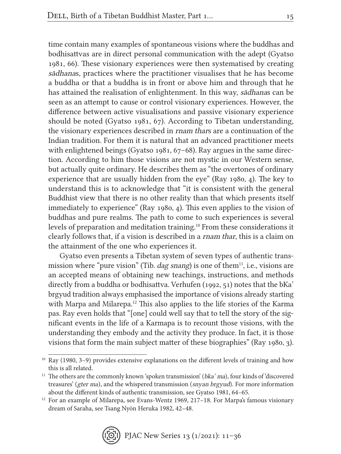time contain many examples of spontaneous visions where the buddhas and bodhisattvas are in direct personal communication with the adept (Gyatso 1981, 66). These visionary experiences were then systematised by creating sādhanas, practices where the practitioner visualises that he has become a buddha or that a buddha is in front or above him and through that he has attained the realisation of enlightenment. In this way, sādhanas can be seen as an attempt to cause or control visionary experiences. However, the difference between active visualisations and passive visionary experience should be noted (Gyatso 1981, 67). According to Tibetan understanding, the visionary experiences described in rnam thars are a continuation of the Indian tradition. For them it is natural that an advanced practitioner meets with enlightened beings (Gyatso 1981, 67–68). Ray argues in the same direction. According to him those visions are not mystic in our Western sense, but actually quite ordinary. He describes them as "the overtones of ordinary experience that are usually hidden from the eye" (Ray 1980, 4). The key to understand this is to acknowledge that "it is consistent with the general Buddhist view that there is no other reality than that which presents itself immediately to experience" (Ray 1980, 4). This even applies to the vision of buddhas and pure realms. The path to come to such experiences is several levels of preparation and meditation training.10 From these considerations it clearly follows that, if a vision is described in a rnam thar, this is a claim on the attainment of the one who experiences it.

Gyatso even presents a Tibetan system of seven types of authentic transmission where "pure vision" (Tib. dag snang) is one of them<sup>11</sup>, i.e., visions are an accepted means of obtaining new teachings, instructions, and methods directly from a buddha or bodhisattva. Verhufen (1992, 51) notes that the bKa' brgyud tradition always emphasised the importance of visions already starting with Marpa and Milarepa.12 This also applies to the life stories of the Karma pas. Ray even holds that "[one] could well say that to tell the story of the significant events in the life of a Karmapa is to recount those visions, with the understanding they embody and the activity they produce. In fact, it is those visions that form the main subject matter of these biographies" (Ray 1980, 3).

<sup>&</sup>lt;sup>10</sup> Ray (1980, 3-9) provides extensive explanations on the different levels of training and how this is all related.

 $11$  The others are the commonly known 'spoken transmission' (bka' ma), four kinds of 'discovered treasures' (gter ma), and the whispered transmission (snyan brgyud). For more information about the different kinds of authentic transmission, see Gyatso 1981, 64–65.

 $12$  For an example of Milarepa, see Evans-Wentz 1969, 217–18. For Marpa's famous visionary dream of Saraha, see Tsang Nyön Heruka 1982, 42–48.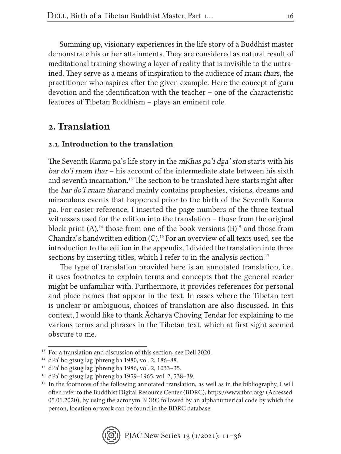Summing up, visionary experiences in the life story of a Buddhist master demonstrate his or her attainments. They are considered as natural result of meditational training showing a layer of reality that is invisible to the untrained. They serve as a means of inspiration to the audience of rnam thars, the practitioner who aspires after the given example. Here the concept of guru devotion and the identification with the teacher – one of the characteristic features of Tibetan Buddhism – plays an eminent role.

## 2. Translation

### 2.1. Introduction to the translation

The Seventh Karma pa's life story in the mKhas pa'i dga' ston starts with his bar do'i rnam thar – his account of the intermediate state between his sixth and seventh incarnation.13 The section to be translated here starts right after the bar do'i rnam thar and mainly contains prophesies, visions, dreams and miraculous events that happened prior to the birth of the Seventh Karma pa. For easier reference, I inserted the page numbers of the three textual witnesses used for the edition into the translation – those from the original block print  $(A)$ ,<sup>14</sup> those from one of the book versions  $(B)$ <sup>15</sup> and those from Chandra's handwritten edition (C).16 For an overview of all texts used, see the introduction to the edition in the appendix. I divided the translation into three sections by inserting titles, which I refer to in the analysis section.<sup>17</sup>

The type of translation provided here is an annotated translation, i.e., it uses footnotes to explain terms and concepts that the general reader might be unfamiliar with. Furthermore, it provides references for personal and place names that appear in the text. In cases where the Tibetan text is unclear or ambiguous, choices of translation are also discussed. In this context, I would like to thank Āchārya Choying Tendar for explaining to me various terms and phrases in the Tibetan text, which at first sight seemed obscure to me.

<sup>&</sup>lt;sup>13</sup> For a translation and discussion of this section, see Dell 2020.

<sup>14</sup> dPa' bo gtsug lag 'phreng ba 1980, vol. 2, 186–88.

<sup>15</sup> dPa' bo gtsug lag 'phreng ba 1986, vol. 2, 1033–35.

<sup>16</sup> dPa' bo gtsug lag 'phreng ba 1959–1965, vol. 2, 538–39.

<sup>&</sup>lt;sup>17</sup> In the footnotes of the following annotated translation, as well as in the bibliography, I will often refer to the Buddhist Digital Resource Center (BDRC), https://www.tbrc.org/ (Accessed: 05.01.2020), by using the acronym BDRC followed by an alphanumerical code by which the person, location or work can be found in the BDRC database.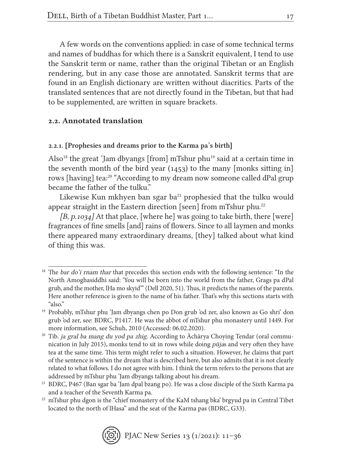A few words on the conventions applied: in case of some technical terms and names of buddhas for which there is a Sanskrit equivalent, I tend to use the Sanskrit term or name, rather than the original Tibetan or an English rendering, but in any case those are annotated. Sanskrit terms that are found in an English dictionary are written without diacritics. Parts of the translated sentences that are not directly found in the Tibetan, but that had to be supplemented, are written in square brackets.

### 2.2. Annotated translation

#### 2.2.1. [Prophesies and dreams prior to the Karma pa's birth]

Also<sup>18</sup> the great 'Jam dbyangs [from] mTshur phu<sup>19</sup> said at a certain time in the seventh month of the bird year (1453) to the many [monks sitting in] rows [having] tea:<sup>20</sup> "According to my dream now someone called dPal grup became the father of the tulku."

Likewise Kun mkhyen ban sgar ba $^{21}$  prophesied that the tulku would appear straight in the Eastern direction [seen] from mTshur phu.<sup>22</sup>

 $[B, p.1034]$  At that place, [where he] was going to take birth, there [were] fragrances of fine smells [and] rains of flowers. Since to all laymen and monks there appeared many extraordinary dreams, [they] talked about what kind of thing this was.

 $22$  mTshur phu dgon is the "chief monastery of the KaM tshang bka' brgyud pa in Central Tibet located to the north of lHasa" and the seat of the Karma pas (BDRC, G33).



<sup>&</sup>lt;sup>18</sup> The bar do'i rnam thar that precedes this section ends with the following sentence: "In the North Amoghasiddhi said: 'You will be born into the world from the father, Grags pa dPal grub, and the mother, lHa mo skyid'" (Dell 2020, 51). Thus, it predicts the names of the parents. Here another reference is given to the name of his father. That's why this sections starts with "also."

<sup>19</sup> Probably, mTshur phu 'Jam dbyangs chen po Don grub 'od zer, also known as Go shri' don grub 'od zer, see: BDRC, P1417. He was the abbot of mTshur phu monastery until 1449. For more information, see Schuh, 2010 (Accessed: 06.02.2020).

<sup>&</sup>lt;sup>20</sup> Tib. *ja gral ba mang du yod pa zhig*. According to  $\bar{A}$ chārya Choying Tendar (oral communication in July 2015), monks tend to sit in rows while doing pūjas and very often they have tea at the same time. This term might refer to such a situation. However, he claims that part of the sentence is within the dream that is described here, but also admits that it is not clearly related to what follows. I do not agree with him. I think the term refers to the persons that are addressed by mTshur phu 'Jam dbyangs talking about his dream.

<sup>21</sup> BDRC, P467 (Ban sgar ba 'Jam dpal bzang po). He was a close disciple of the Sixth Karma pa and a teacher of the Seventh Karma pa.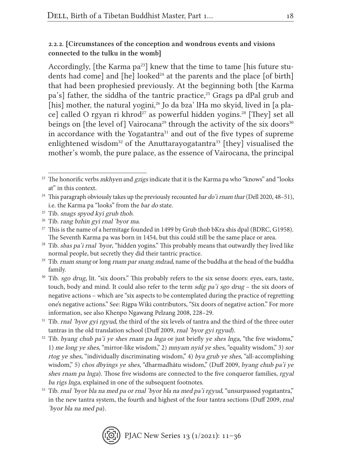#### 2.2.2. [Circumstances of the conception and wondrous events and visions connected to the tulku in the womb]

Accordingly, [the Karma  $pa^{23}$ ] knew that the time to tame [his future students had come] and  $[he]$  looked<sup>24</sup> at the parents and the place  $[of birth]$ that had been prophesied previously. At the beginning both [the Karma pa's] father, the siddha of the tantric practice,<sup>25</sup> Grags pa dPal grub and [his] mother, the natural yogini,<sup>26</sup> Jo da bza' lHa mo skyid, lived in [a place] called O rgyan ri khrod<sup>27</sup> as powerful hidden yogins.<sup>28</sup> [They] set all beings on [the level of] Vairocana<sup>29</sup> through the activity of the six doors<sup>30</sup> in accordance with the Yogatantra<sup>31</sup> and out of the five types of supreme enlightened wisdom<sup>32</sup> of the Anuttarayogatantra<sup>33</sup> [they] visualised the mother's womb, the pure palace, as the essence of Vairocana, the principal

 $33$  Tib. rnal 'byor bla na med pa or rnal 'byor bla na med pa'i rgyud, "unsurpassed yogatantra," in the new tantra system, the fourth and highest of the four tantra sections (Duff 2009, rnal 'byor bla na med pa).



 $23$  The honorific verbs *mkhyen* and *gzigs* indicate that it is the Karma pa who "knows" and "looks" at" in this context.

<sup>&</sup>lt;sup>24</sup> This paragraph obviously takes up the previously recounted *bar do'i rnam thar* (Dell 2020, 48–51), i.e. the Karma pa "looks" from the bar do state. 25 Tib. snags spyod kyi grub thob.

 $26$  Tib. rang bzhin gyi rnal 'byor ma.

<sup>&</sup>lt;sup>27</sup> This is the name of a hermitage founded in 1499 by Grub thob bKra shis dpal (BDRC, G1958). The Seventh Karma pa was born in 1454, but this could still be the same place or area.

 $28$  Tib. sbas pa'i rnal 'byor, "hidden yogins." This probably means that outwardly they lived like normal people, but secretly they did their tantric practice.

<sup>&</sup>lt;sup>29</sup> Tib. *rnam snang* or long *rnam par snang mdzad*, name of the buddha at the head of the buddha family.

<sup>&</sup>lt;sup>30</sup> Tib. sgo drug, lit. "six doors." This probably refers to the six sense doors: eyes, ears, taste, touch, body and mind. It could also refer to the term *sdig pa'i sgo drug* – the six doors of negative actions – which are "six aspects to be contemplated during the practice of regretting one's negative actions." See: Rigpa Wiki contributors, "Six doors of negative action." For more information, see also Khenpo Ngawang Pelzang 2008, 228–29.

<sup>&</sup>lt;sup>31</sup> Tib. *rnal 'byor gyi rgyud*, the third of the six levels of tantra and the third of the three outer tantras in the old translation school (Duff 2009, rnal 'byor gyi rgyud).

 $32$  Tib. byang chub pa'i ye shes rnam pa lnga or just briefly ye shes lnga, "the five wisdoms," 1) me long ye shes, "mirror-like wisdom," 2) mnyam nyid ye shes, "equality wisdom," 3) sor rtog ye shes, "individually discriminating wisdom," 4) bya grub ye shes, "all-accomplishing wisdom," 5) chos dbyings ye shes, "dharmadhātu wisdom," (Duff 2009, byang chub pa'i ye shes rnam pa lnga). Those five wisdoms are connected to the five conqueror families, rgyal ba rigs lnga, explained in one of the subsequent footnotes.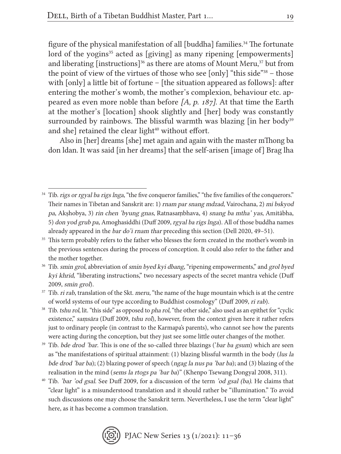figure of the physical manifestation of all [buddha] families.<sup>34</sup> The fortunate lord of the yogins<sup>35</sup> acted as [giving] as many ripening [empowerments] and liberating [instructions]<sup>36</sup> as there are atoms of Mount Meru,<sup>37</sup> but from the point of view of the virtues of those who see [only] "this side"38 – those with [only] a little bit of fortune – [the situation appeared as follows]: after entering the mother's womb, the mother's complexion, behaviour etc. appeared as even more noble than before [A, p. 187]. At that time the Earth at the mother's [location] shook slightly and [her] body was constantly surrounded by rainbows. The blissful warmth was blazing  $\lceil$  in her body<sup>39</sup> and she] retained the clear light $40$  without effort.

Also in [her] dreams [she] met again and again with the master mThong ba don ldan. It was said [in her dreams] that the self-arisen [image of] Brag lha

<sup>&</sup>lt;sup>40</sup> Tib. '*bar* 'od gsal. See Duff 2009, for a discussion of the term 'od gsal (ba). He claims that "clear light" is a misunderstood translation and it should rather be "illumination." To avoid such discussions one may choose the Sanskrit term. Nevertheless, I use the term "clear light" here, as it has become a common translation.



<sup>&</sup>lt;sup>34</sup> Tib. rigs or rgyal ba rigs lnga, "the five conqueror families," "the five families of the conquerors." Their names in Tibetan and Sanskrit are: 1) rnam par snang mdzad, Vairochana, 2) mi bskyod pa, Akṣhobya, 3) rin chen 'byung gnas, Ratnasaṃbhava, 4) snang ba mtha' yas, Amitābha, 5) don yod grub pa, Amoghasiddhi (Duff 2009, rgyal ba rigs lnga). All of those buddha names already appeared in the bar do'i rnam thar preceding this section (Dell 2020, 49–51).

<sup>&</sup>lt;sup>35</sup> This term probably refers to the father who blesses the form created in the mother's womb in the previous sentences during the process of conception. It could also refer to the father and the mother together.

<sup>&</sup>lt;sup>36</sup> Tib. *smin grol*, abbreviation of *smin byed kyi dbang*, "ripening empowerments," and grol byed kyi khrid, "liberating instructions," two necessary aspects of the secret mantra vehicle (Duff 2009, smin grol).

 $37$  Tib. *ri rab*, translation of the Skt. *meru*, "the name of the huge mountain which is at the centre of world systems of our type according to Buddhist cosmology" (Duff 2009, ri rab).

<sup>&</sup>lt;sup>38</sup> Tib. *tshu rol*, lit. "this side" as opposed to *pha rol*, "the other side," also used as an epithet for "cyclic" existence," samsāra (Duff 2009, tshu rol), however, from the context given here it rather refers just to ordinary people (in contrast to the Karmapa's parents), who cannot see how the parents were acting during the conception, but they just see some little outer changes of the mother.

<sup>&</sup>lt;sup>39</sup> Tib. bde drod 'bar. This is one of the so-called three blazings ('bar ba gsum) which are seen as "the manifestations of spiritual attainment: (1) blazing blissful warmth in the body (lus la bde drod 'bar ba); (2) blazing power of speech (ngag la nus pa 'bar ba); and (3) blazing of the realisation in the mind (sems la rtogs pa 'bar ba)" (Khenpo Tsewang Dongyal 2008, 311).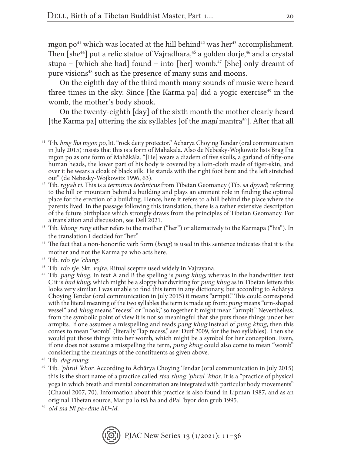mgon po<sup>41</sup> which was located at the hill behind<sup>42</sup> was her<sup>43</sup> accomplishment. Then  $[she^{44}]$  put a relic statue of Vajradhāra,<sup>45</sup> a golden dorje,<sup>46</sup> and a crystal stupa – [which she had] found – into [her] womb.<sup>47</sup> [She] only dreamt of pure visions<sup>48</sup> such as the presence of many suns and moons.

On the eighth day of the third month many sounds of music were heard three times in the sky. Since  $[the Karma pa]$  did a yogic exercise<sup>49</sup> in the womb, the mother's body shook.

On the twenty-eighth [day] of the sixth month the mother clearly heard [the Karma pa] uttering the six syllables [of the *mani* mantra<sup>50</sup>]. After that all

<sup>45</sup> Tib. rdo rje 'chang.

 $50$  oM ma Ni pa+dme hU~M.



<sup>&</sup>lt;sup>41</sup> Tib. *brag lha mgon po*, lit. "rock deity protector." Āchārya Choying Tendar (oral communication in July 2015) insists that this is a form of Mahākāla. Also de Nebesky-Wojkowitz lists Brag Iha mgon po as one form of Mahākāla. "[He] wears a diadem of five skulls, a garland of fifty-one human heads, the lower part of his body is covered by a loin-cloth made of tiger-skin, and over it he wears a cloak of black silk. He stands with the right foot bent and the left stretched out" (de Nebesky-Wojkowitz 1996, 63).

 $42$  Tib. *rgyab ri*. This is a *terminus technicus* from Tibetan Geomancy (Tib. sa dpyad) referring to the hill or mountain behind a building and plays an eminent role in finding the optimal place for the erection of a building. Hence, here it refers to a hill behind the place where the parents lived. In the passage following this translation, there is a rather extensive description of the future birthplace which strongly draws from the principles of Tibetan Geomancy. For a translation and discussion, see Dell 2021.

<sup>&</sup>lt;sup>43</sup> Tib. khong rang either refers to the mother ("her") or alternatively to the Karmapa ("his"). In the translation I decided for "her."

 $44$  The fact that a non-honorific verb form (bcug) is used in this sentence indicates that it is the mother and not the Karma pa who acts here.

<sup>&</sup>lt;sup>46</sup> Tib. *rdo rje*. Skt. *vajra*. Ritual sceptre used widely in Vajrayana.

 $47$  Tib. pang khug. In text A and B the spelling is pung khug, whereas in the handwritten text C it is bud khug, which might be a sloppy handwriting for pung khug as in Tibetan letters this looks very similar. I was unable to find this term in any dictionary, but according to Āchārya Choying Tendar (oral communication in July 2015) it means "armpit." This could correspond with the literal meaning of the two syllables the term is made up from: pung means "urn-shaped vessel" and khug means "recess" or "nook," so together it might mean "armpit." Nevertheless, from the symbolic point of view it is not so meaningful that she puts those things under her armpits. If one assumes a misspelling and reads pang khug instead of pung khug, then this comes to mean "womb" (literally "lap recess," see: Duff 2009, for the two syllables). Then she would put those things into her womb, which might be a symbol for her conception. Even, if one does not assume a misspelling the term, pung khug could also come to mean "womb" considering the meanings of the constituents as given above.

<sup>48</sup> Tib. dag snang.

<sup>49</sup> Tib. 'phrul 'khor. According to Āchārya Choying Tendar (oral communication in July 2015) this is the short name of a practice called rtsa rlung 'phrul 'khor. It is a "practice of physical yoga in which breath and mental concentration are integrated with particular body movements" (Chaoul 2007, 70). Information about this practice is also found in Lipman 1987, and as an original Tibetan source, Mar pa lo tsā ba and dPal 'byor don grub 1995.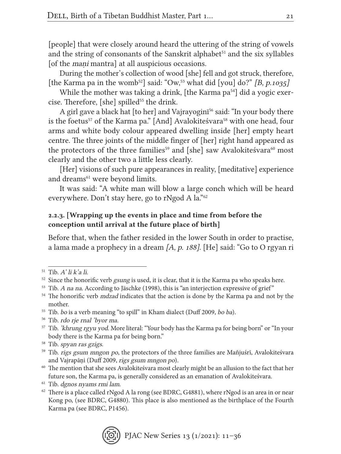[people] that were closely around heard the uttering of the string of vowels and the string of consonants of the Sanskrit alphabet<sup>51</sup> and the six syllables [of the *mani* mantra] at all auspicious occasions.

During the mother's collection of wood [she] fell and got struck, therefore, [the Karma pa in the womb<sup>52</sup>] said: "Ow,<sup>53</sup> what did [you] do?" [B, p.1035]

While the mother was taking a drink, [the Karma  $pa<sup>54</sup>$ ] did a yogic exercise. Therefore,  $[she]$  spilled<sup>55</sup> the drink.

A girl gave a black hat [to her] and Vajrayogin<sup>56</sup> said: "In your body there is the foetus<sup>57</sup> of the Karma pa." [And] Avalokiteśvara<sup>58</sup> with one head, four arms and white body colour appeared dwelling inside [her] empty heart centre. The three joints of the middle finger of [her] right hand appeared as the protectors of the three families<sup>59</sup> and [she] saw Avalokiteśvara<sup>60</sup> most clearly and the other two a little less clearly.

[Her] visions of such pure appearances in reality, [meditative] experience and dreams<sup>61</sup> were beyond limits.

It was said: "A white man will blow a large conch which will be heard everywhere. Don't stay here, go to rNgod A la."62

### 2.2.3. [Wrapping up the events in place and time from before the conception until arrival at the future place of birth]

Before that, when the father resided in the lower South in order to practise, a lama made a prophecy in a dream [A, p. 188]. [He] said: "Go to O rgyan ri

<sup>56</sup> Tib. rdo rje rnal 'byor ma.

 $62$  There is a place called rNgod A la rong (see BDRC, G4881), where rNgod is an area in or near Kong po, (see BDRC, G4880). This place is also mentioned as the birthplace of the Fourth Karma pa (see BDRC, P1456).



 $51$  Tib. A' li k'a li.

 $52$  Since the honorific verb gsung is used, it is clear, that it is the Karma pa who speaks here.

<sup>&</sup>lt;sup>53</sup> Tib. *A na na*. According to Jäschke (1998), this is "an interjection expressive of grief"  $^{54}$  The honorific verb *mdzad* indicates that the action is done by the Karma pa and not by the mother.

<sup>&</sup>lt;sup>55</sup> Tib. bo is a verb meaning "to spill" in Kham dialect (Duff 2009, bo ba).

<sup>&</sup>lt;sup>57</sup> Tib. 'khrung rgyu yod. More literal: "Your body has the Karma pa for being born" or "In your body there is the Karma pa for being born." 58 Tib. spyan ras gzigs.

<sup>&</sup>lt;sup>59</sup> Tib. rigs gsum mngon po, the protectors of the three families are Mañjuśrī, Avalokiteśvara and Vajrapāṇi (Duff 2009, rigs gsum mngon po).

<sup>60</sup> The mention that she sees Avalokiteśvara most clearly might be an allusion to the fact that her future son, the Karma pa, is generally considered as an emanation of Avalokiteśvara.

<sup>61</sup> Tib. dgnos nyams rmi lam.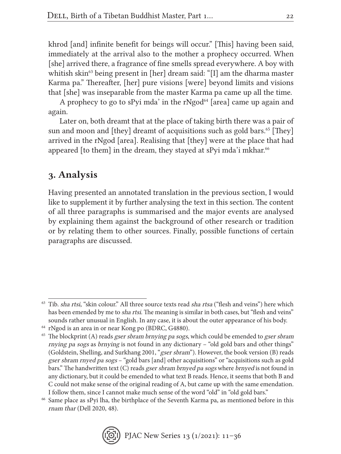khrod [and] infinite benefit for beings will occur." [This] having been said, immediately at the arrival also to the mother a prophecy occurred. When [she] arrived there, a fragrance of fine smells spread everywhere. A boy with whitish skin<sup>63</sup> being present in [her] dream said: "[I] am the dharma master Karma pa." Thereafter, [her] pure visions [were] beyond limits and visions that [she] was inseparable from the master Karma pa came up all the time.

A prophecy to go to sPyi mda' in the rNgod $^{64}$  [area] came up again and again.

Later on, both dreamt that at the place of taking birth there was a pair of sun and moon and [they] dreamt of acquisitions such as gold bars.<sup>65</sup> [They] arrived in the rNgod [area]. Realising that [they] were at the place that had appeared [to them] in the dream, they stayed at sPyi mda'i mkhar. $66$ 

## 3. Analysis

Having presented an annotated translation in the previous section, I would like to supplement it by further analysing the text in this section. The content of all three paragraphs is summarised and the major events are analysed by explaining them against the background of other research or tradition or by relating them to other sources. Finally, possible functions of certain paragraphs are discussed.

 $63$  Tib. sha rtsi, "skin colour." All three source texts read sha rtsa ("flesh and veins") here which has been emended by me to *sha rtsi*. The meaning is similar in both cases, but "flesh and veins" sounds rather unusual in English. In any case, it is about the outer appearance of his body.

<sup>64</sup> rNgod is an area in or near Kong po (BDRC, G4880).

 $65$  The blockprint (A) reads gser sbram brnying pa sogs, which could be emended to gser sbram rnying pa sogs as brnying is not found in any dictionary – "old gold bars and other things" (Goldstein, Shelling, and Surkhang 2001, "gser sbram"). However, the book version (B) reads gser sbram rnyed pa sogs – "gold bars [and] other acquisitions" or "acquisitions such as gold bars." The handwritten text (C) reads gser sbram brnyed pa sogs where brnyed is not found in any dictionary, but it could be emended to what text B reads. Hence, it seems that both B and C could not make sense of the original reading of A, but came up with the same emendation. I follow them, since I cannot make much sense of the word "old" in "old gold bars."

<sup>66</sup> Same place as sPyi lha, the birthplace of the Seventh Karma pa, as mentioned before in this rnam thar (Dell 2020, 48).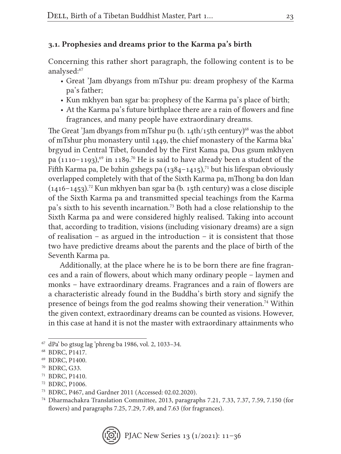### 3.1. Prophesies and dreams prior to the Karma pa's birth

Concerning this rather short paragraph, the following content is to be analysed:67

- Great 'Jam dbyangs from mTshur pu: dream prophesy of the Karma pa's father;
- Kun mkhyen ban sgar ba: prophesy of the Karma pa's place of birth;
- At the Karma pa's future birthplace there are a rain of flowers and fine fragrances, and many people have extraordinary dreams.

The Great 'Jam dbyangs from mTshur pu  $(b, 14th/15th$  century)<sup>68</sup> was the abbot of mTshur phu monastery until 1449, the chief monastery of the Karma bka' brgyud in Central Tibet, founded by the First Kama pa, Dus gsum mkhyen pa  $(1110-1193)$ ,<sup>69</sup> in 1189.<sup>70</sup> He is said to have already been a student of the Fifth Karma pa, De bzhin gshegs pa  $(1384-1415)$ ,<sup>71</sup> but his lifespan obviously overlapped completely with that of the Sixth Karma pa, mThong ba don ldan  $(1416-1453).$ <sup>72</sup> Kun mkhyen ban sgar ba (b. 15th century) was a close disciple of the Sixth Karma pa and transmitted special teachings from the Karma pa's sixth to his seventh incarnation.73 Both had a close relationship to the Sixth Karma pa and were considered highly realised. Taking into account that, according to tradition, visions (including visionary dreams) are a sign of realisation – as argued in the introduction – it is consistent that those two have predictive dreams about the parents and the place of birth of the Seventh Karma pa.

Additionally, at the place where he is to be born there are fine fragrances and a rain of flowers, about which many ordinary people – laymen and monks – have extraordinary dreams. Fragrances and a rain of flowers are a characteristic already found in the Buddha's birth story and signify the presence of beings from the god realms showing their veneration.74 Within the given context, extraordinary dreams can be counted as visions. However, in this case at hand it is not the master with extraordinary attainments who

 $67$  dPa' bo gtsug lag 'phreng ba 1986, vol. 2, 1033-34.

<sup>68</sup> BDRC, P1417.

<sup>69</sup> BDRC, P1400.

<sup>70</sup> BDRC, G33.

<sup>71</sup> BDRC, P1410.

<sup>72</sup> BDRC, P1006.

<sup>73</sup> BDRC, P467, and Gardner 2011 (Accessed: 02.02.2020).

<sup>74</sup> Dharmachakra Translation Committee, 2013, paragraphs 7.21, 7.33, 7.37, 7.59, 7.150 (for flowers) and paragraphs 7.25, 7.29, 7.49, and 7.63 (for fragrances).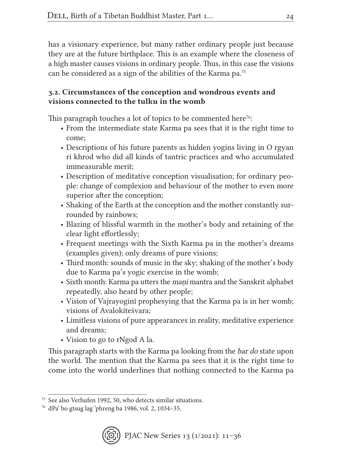has a visionary experience, but many rather ordinary people just because they are at the future birthplace. This is an example where the closeness of a high master causes visions in ordinary people. Thus, in this case the visions can be considered as a sign of the abilities of the Karma pa.75

## 3.2. Circumstances of the conception and wondrous events and visions connected to the tulku in the womb

This paragraph touches a lot of topics to be commented here<sup>76</sup>:

- From the intermediate state Karma pa sees that it is the right time to come;
- Descriptions of his future parents as hidden yogins living in O rgyan ri khrod who did all kinds of tantric practices and who accumulated immeasurable merit;
- Description of meditative conception visualisation; for ordinary people: change of complexion and behaviour of the mother to even more superior after the conception;
- Shaking of the Earth at the conception and the mother constantly surrounded by rainbows;
- Blazing of blissful warmth in the mother's body and retaining of the clear light effortlessly;
- Frequent meetings with the Sixth Karma pa in the mother's dreams (examples given); only dreams of pure visions;
- Third month: sounds of music in the sky; shaking of the mother's body due to Karma pa's yogic exercise in the womb;
- Sixth month: Karma pa utters the *mani* mantra and the Sanskrit alphabet repeatedly, also heard by other people;
- Vision of Vajrayoginī prophesying that the Karma pa is in her womb; visions of Avalokiteśvara;
- Limitless visions of pure appearances in reality, meditative experience and dreams;
- Vision to go to rNgod A la.

This paragraph starts with the Karma pa looking from the bar do state upon the world. The mention that the Karma pa sees that it is the right time to come into the world underlines that nothing connected to the Karma pa

<sup>75</sup> See also Verhufen 1992, 50, who detects similar situations.

<sup>76</sup> dPa' bo gtsug lag 'phreng ba 1986, vol. 2, 1034–35.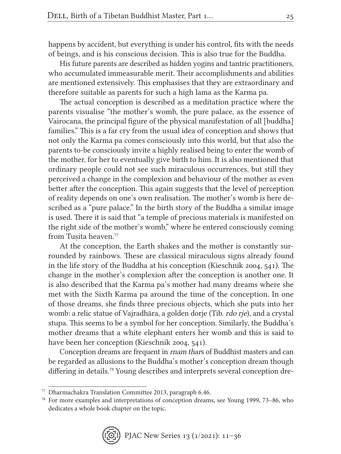happens by accident, but everything is under his control, fits with the needs of beings, and is his conscious decision. This is also true for the Buddha.

His future parents are described as hidden yogins and tantric practitioners, who accumulated immeasurable merit. Their accomplishments and abilities are mentioned extensively. This emphasises that they are extraordinary and therefore suitable as parents for such a high lama as the Karma pa.

The actual conception is described as a meditation practice where the parents visualise "the mother's womb, the pure palace, as the essence of Vairocana, the principal figure of the physical manifestation of all [buddha] families." This is a far cry from the usual idea of conception and shows that not only the Karma pa comes consciously into this world, but that also the parents to-be consciously invite a highly realised being to enter the womb of the mother, for her to eventually give birth to him. It is also mentioned that ordinary people could not see such miraculous occurrences, but still they perceived a change in the complexion and behaviour of the mother as even better after the conception. This again suggests that the level of perception of reality depends on one's own realisation. The mother's womb is here described as a "pure palace." In the birth story of the Buddha a similar image is used. There it is said that "a temple of precious materials is manifested on the right side of the mother's womb," where he entered consciously coming from Tusita heaven.<sup>77</sup>

At the conception, the Earth shakes and the mother is constantly surrounded by rainbows. These are classical miraculous signs already found in the life story of the Buddha at his conception (Kieschnik 2004, 541). The change in the mother's complexion after the conception is another one. It is also described that the Karma pa's mother had many dreams where she met with the Sixth Karma pa around the time of the conception. In one of those dreams, she finds three precious objects, which she puts into her womb: a relic statue of Vajradhāra, a golden dorje (Tib. rdo rje), and a crystal stupa. This seems to be a symbol for her conception. Similarly, the Buddha's mother dreams that a white elephant enters her womb and this is said to have been her conception (Kieschnik 2004, 541).

Conception dreams are frequent in rnam thars of Buddhist masters and can be regarded as allusions to the Buddha's mother's conception dream though differing in details.78 Young describes and interprets several conception dre-

<sup>77</sup> Dharmachakra Translation Committee 2013, paragraph 6.46.

<sup>78</sup> For more examples and interpretations of conception dreams, see Young 1999, 73–86, who dedicates a whole book chapter on the topic.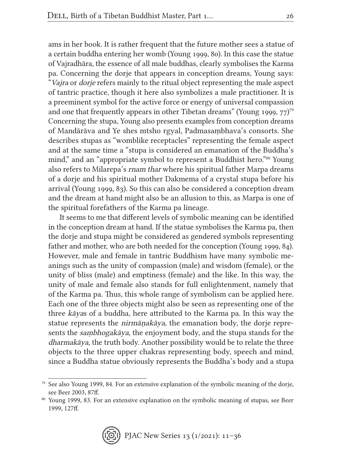ams in her book. It is rather frequent that the future mother sees a statue of a certain buddha entering her womb (Young 1999, 80). In this case the statue of Vajradhāra, the essence of all male buddhas, clearly symbolises the Karma pa. Concerning the dorje that appears in conception dreams, Young says: "Vajra or dorje refers mainly to the ritual object representing the male aspect of tantric practice, though it here also symbolizes a male practitioner. It is a preeminent symbol for the active force or energy of universal compassion and one that frequently appears in other Tibetan dreams" (Young 1999,  $77$ )<sup>79</sup> Concerning the stupa, Young also presents examples from conception dreams of Mandārāva and Ye shes mtsho rgyal, Padmasaṃbhava's consorts. She describes stupas as "womblike receptacles" representing the female aspect and at the same time a "stupa is considered an emanation of the Buddha's mind," and an "appropriate symbol to represent a Buddhist hero."80 Young also refers to Milarepa's rnam thar where his spiritual father Marpa dreams of a dorje and his spiritual mother Dakmema of a crystal stupa before his arrival (Young 1999, 83). So this can also be considered a conception dream and the dream at hand might also be an allusion to this, as Marpa is one of the spiritual forefathers of the Karma pa lineage.

It seems to me that different levels of symbolic meaning can be identified in the conception dream at hand. If the statue symbolises the Karma pa, then the dorje and stupa might be considered as gendered symbols representing father and mother, who are both needed for the conception (Young 1999, 84). However, male and female in tantric Buddhism have many symbolic meanings such as the unity of compassion (male) and wisdom (female), or the unity of bliss (male) and emptiness (female) and the like. In this way, the unity of male and female also stands for full enlightenment, namely that of the Karma pa. Thus, this whole range of symbolism can be applied here. Each one of the three objects might also be seen as representing one of the three kāyas of a buddha, here attributed to the Karma pa. In this way the statue represents the nirmāṇakāya, the emanation body, the dorje represents the saṃbhogakāya, the enjoyment body, and the stupa stands for the dharmakāya, the truth body. Another possibility would be to relate the three objects to the three upper chakras representing body, speech and mind, since a Buddha statue obviously represents the Buddha's body and a stupa

<sup>80</sup> Young 1999, 83. For an extensive explanation on the symbolic meaning of stupas, see Beer 1999, 127ff.



<sup>79</sup> See also Young 1999, 84. For an extensive explanation of the symbolic meaning of the dorje, see Beer 2003, 87ff.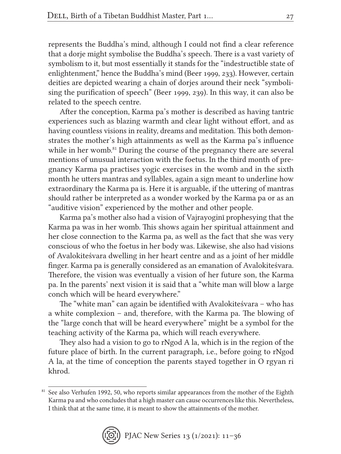represents the Buddha's mind, although I could not find a clear reference that a dorje might symbolise the Buddha's speech. There is a vast variety of symbolism to it, but most essentially it stands for the "indestructible state of enlightenment," hence the Buddha's mind (Beer 1999, 233). However, certain deities are depicted wearing a chain of dorjes around their neck "symbolising the purification of speech" (Beer 1999, 239). In this way, it can also be related to the speech centre.

After the conception, Karma pa's mother is described as having tantric experiences such as blazing warmth and clear light without effort, and as having countless visions in reality, dreams and meditation. This both demonstrates the mother's high attainments as well as the Karma pa's influence while in her womb.<sup>81</sup> During the course of the pregnancy there are several mentions of unusual interaction with the foetus. In the third month of pregnancy Karma pa practises yogic exercises in the womb and in the sixth month he utters mantras and syllables, again a sign meant to underline how extraordinary the Karma pa is. Here it is arguable, if the uttering of mantras should rather be interpreted as a wonder worked by the Karma pa or as an "auditive vision" experienced by the mother and other people.

Karma pa's mother also had a vision of Vajrayoginī prophesying that the Karma pa was in her womb. This shows again her spiritual attainment and her close connection to the Karma pa, as well as the fact that she was very conscious of who the foetus in her body was. Likewise, she also had visions of Avalokiteśvara dwelling in her heart centre and as a joint of her middle finger. Karma pa is generally considered as an emanation of Avalokiteśvara. Therefore, the vision was eventually a vision of her future son, the Karma pa. In the parents' next vision it is said that a "white man will blow a large conch which will be heard everywhere."

The "white man" can again be identified with Avalokiteśvara – who has a white complexion – and, therefore, with the Karma pa. The blowing of the "large conch that will be heard everywhere" might be a symbol for the teaching activity of the Karma pa, which will reach everywhere.

They also had a vision to go to rNgod A la, which is in the region of the future place of birth. In the current paragraph, i.e., before going to rNgod A la, at the time of conception the parents stayed together in O rgyan ri khrod.

<sup>&</sup>lt;sup>81</sup> See also Verhufen 1992, 50, who reports similar appearances from the mother of the Eighth Karma pa and who concludes that a high master can cause occurrences like this. Nevertheless, I think that at the same time, it is meant to show the attainments of the mother.

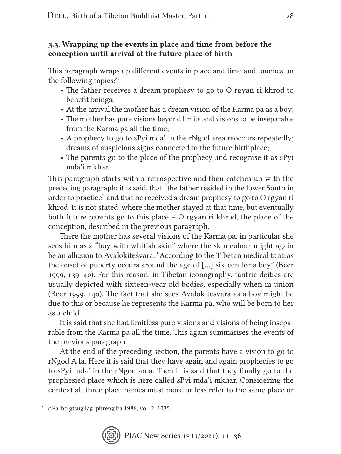### 3.3. Wrapping up the events in place and time from before the conception until arrival at the future place of birth

This paragraph wraps up different events in place and time and touches on the following topics: $82$ 

- The father receives a dream prophesy to go to O rgyan ri khrod to benefit beings;
- At the arrival the mother has a dream vision of the Karma pa as a boy;
- The mother has pure visions beyond limits and visions to be inseparable from the Karma pa all the time;
- A prophecy to go to sPyi mda' in the rNgod area reoccurs repeatedly; dreams of auspicious signs connected to the future birthplace;
- The parents go to the place of the prophecy and recognise it as sPyi mda'i mkhar.

This paragraph starts with a retrospective and then catches up with the preceding paragraph: it is said, that "the father resided in the lower South in order to practice" and that he received a dream prophesy to go to O rgyan ri khrod. It is not stated, where the mother stayed at that time, but eventually both future parents go to this place – O rgyan ri khrod, the place of the conception, described in the previous paragraph.

There the mother has several visions of the Karma pa, in particular she sees him as a "boy with whitish skin" where the skin colour might again be an allusion to Avalokiteśvara. "According to the Tibetan medical tantras the onset of puberty occurs around the age of […] sixteen for a boy" (Beer 1999, 139–40). For this reason, in Tibetan iconography, tantric deities are usually depicted with sixteen-year old bodies, especially when in union (Beer 1999, 140). The fact that she sees Avalokiteśvara as a boy might be due to this or because he represents the Karma pa, who will be born to her as a child.

It is said that she had limitless pure visions and visions of being inseparable from the Karma pa all the time. This again summarises the events of the previous paragraph.

At the end of the preceding section, the parents have a vision to go to rNgod A la. Here it is said that they have again and again prophecies to go to sPyi mda' in the rNgod area. Then it is said that they finally go to the prophesied place which is here called sPyi mda'i mkhar. Considering the context all three place names must more or less refer to the same place or

<sup>82</sup> dPa' bo gtsug lag 'phreng ba 1986, vol. 2, 1035.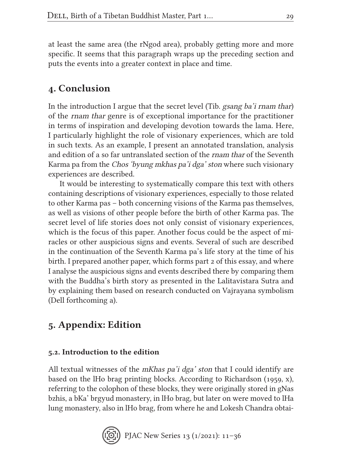at least the same area (the rNgod area), probably getting more and more specific. It seems that this paragraph wraps up the preceding section and puts the events into a greater context in place and time.

## 4. Conclusion

In the introduction I argue that the secret level (Tib. gsang ba'i rnam thar) of the rnam thar genre is of exceptional importance for the practitioner in terms of inspiration and developing devotion towards the lama. Here, I particularly highlight the role of visionary experiences, which are told in such texts. As an example, I present an annotated translation, analysis and edition of a so far untranslated section of the rnam thar of the Seventh Karma pa from the Chos 'byung mkhas pa'i dga' ston where such visionary experiences are described.

It would be interesting to systematically compare this text with others containing descriptions of visionary experiences, especially to those related to other Karma pas – both concerning visions of the Karma pas themselves, as well as visions of other people before the birth of other Karma pas. The secret level of life stories does not only consist of visionary experiences, which is the focus of this paper. Another focus could be the aspect of miracles or other auspicious signs and events. Several of such are described in the continuation of the Seventh Karma pa's life story at the time of his birth. I prepared another paper, which forms part 2 of this essay, and where I analyse the auspicious signs and events described there by comparing them with the Buddha's birth story as presented in the Lalitavistara Sutra and by explaining them based on research conducted on Vajrayana symbolism (Dell forthcoming a).

## 5. Appendix: Edition

### 5.2. Introduction to the edition

All textual witnesses of the *mKhas pa'i dga' ston* that I could identify are based on the lHo brag printing blocks. According to Richardson (1959, x), referring to the colophon of these blocks, they were originally stored in gNas bzhis, a bKa' brgyud monastery, in lHo brag, but later on were moved to lHa lung monastery, also in lHo brag, from where he and Lokesh Chandra obtai-

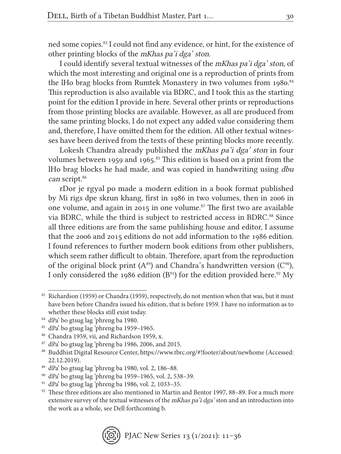ned some copies.83 I could not find any evidence, or hint, for the existence of other printing blocks of the mKhas pa'i dga' ston.

I could identify several textual witnesses of the mKhas pa'i dga' ston, of which the most interesting and original one is a reproduction of prints from the lHo brag blocks from Rumtek Monastery in two volumes from 1980.<sup>84</sup> This reproduction is also available via BDRC, and I took this as the starting point for the edition I provide in here. Several other prints or reproductions from those printing blocks are available. However, as all are produced from the same printing blocks, I do not expect any added value considering them and, therefore, I have omitted them for the edition. All other textual witnesses have been derived from the texts of these printing blocks more recently.

Lokesh Chandra already published the mKhas pa'i dga' ston in four volumes between 1959 and 1965.<sup>85</sup> This edition is based on a print from the lHo brag blocks he had made, and was copied in handwriting using dbu can script.<sup>86</sup>

rDor je rgyal po made a modern edition in a book format published by Mi rigs dpe skrun khang, first in 1986 in two volumes, then in 2006 in one volume, and again in 2015 in one volume.<sup>87</sup> The first two are available via BDRC, while the third is subject to restricted access in BDRC.<sup>88</sup> Since all three editions are from the same publishing house and editor, I assume that the 2006 and 2015 editions do not add information to the 1986 edition. I found references to further modern book editions from other publishers, which seem rather difficult to obtain. Therefore, apart from the reproduction of the original block print  $(A^{89})$  and Chandra's handwritten version  $(C^{90})$ , I only considered the 1986 edition (B<sup>91</sup>) for the edition provided here.<sup>92</sup> My

<sup>83</sup> Richardson (1959) or Chandra (1959), respectively, do not mention when that was, but it must have been before Chandra issued his edition, that is before 1959. I have no information as to whether these blocks still exist today.

<sup>84</sup> dPa' bo gtsug lag 'phreng ba 1980.

<sup>85</sup> dPa' bo gtsug lag 'phreng ba 1959–1965.

<sup>86</sup> Chandra 1959, vii, and Richardson 1959, x.

 $87$  dPa' bo gtsug lag 'phreng ba 1986, 2006, and 2015.

<sup>88</sup> Buddhist Digital Resource Center, https://www.tbrc.org/#!footer/about/newhome (Accessed: 22.12.2019).

<sup>89</sup> dPa' bo gtsug lag 'phreng ba 1980, vol. 2, 186–88.

<sup>90</sup> dPa' bo gtsug lag 'phreng ba 1959–1965, vol. 2, 538–39.

<sup>91</sup> dPa' bo gtsug lag 'phreng ba 1986, vol. 2, 1033–35.

 $92$  These three editions are also mentioned in Martin and Bentor 1997, 88–89. For a much more extensive survey of the textual witnesses of the mKhas pa'i dga' ston and an introduction into the work as a whole, see Dell forthcoming b.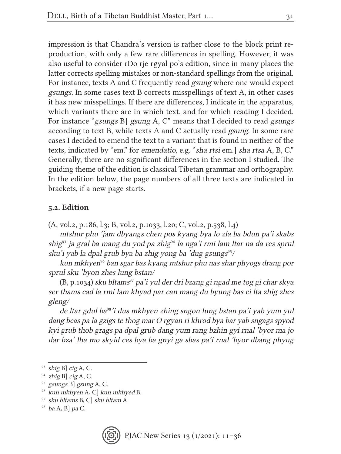impression is that Chandra's version is rather close to the block print reproduction, with only a few rare differences in spelling. However, it was also useful to consider rDo rje rgyal po's edition, since in many places the latter corrects spelling mistakes or non-standard spellings from the original. For instance, texts A and C frequently read gsung where one would expect gsungs. In some cases text B corrects misspellings of text A, in other cases it has new misspellings. If there are differences, I indicate in the apparatus, which variants there are in which text, and for which reading I decided. For instance "gsungs B] gsung A, C" means that I decided to read gsungs according to text B, while texts A and C actually read gsung. In some rare cases I decided to emend the text to a variant that is found in neither of the texts, indicated by "em." for emendatio, e.g. "sha rtsi em.] sha rtsa A, B, C." Generally, there are no significant differences in the section I studied. The guiding theme of the edition is classical Tibetan grammar and orthography. In the edition below, the page numbers of all three texts are indicated in brackets, if a new page starts.

#### 5.2. Edition

(A, vol.2, p.186, l.3; B, vol.2, p.1033, l.20; C, vol.2, p.538, l.4)

mtshur phu 'jam dbyangs chen pos kyang bya lo zla ba bdun pa'i skabs shig<sup>93</sup> ja gral ba mang du yod pa zhig<sup>94</sup> la nga'i rmi lam ltar na da res sprul sku'i yab la dpal grub bya ba zhig yong ba 'dug gsungs $95/$ 

kun mkhyen<sup>96</sup> ban sgar bas kyang mtshur phu nas shar phyogs drang por sprul sku 'byon zhes lung bstan/

 $(B, p.1034)$  sku bltams<sup>97</sup> pa'i yul der dri bzang gi ngad me tog gi char skya ser thams cad la rmi lam khyad par can mang du byung bas ci lta zhig zhes gleng/

de ltar gdul ba<sup>98</sup>'i dus mkhyen zhing sngon lung bstan pa'i yab yum yul dang bcas pa la gzigs te thog mar O rgyan ri khrod bya bar yab sngags spyod kyi grub thob grags pa dpal grub dang yum rang bzhin gyi rnal 'byor ma jo dar bza' lha mo skyid ces bya ba gnyi ga sbas pa'i rnal 'byor dbang phyug



 $93$  shig B] cig A, C.

 $94$  zhig B] cig A, C.

<sup>&</sup>lt;sup>95</sup> gsungs B] gsung A, C.

<sup>96</sup> kun mkhyen A, C] kun mkhyed B.

<sup>97</sup> sku bltams B, C] sku bltam A.

 $98$  ba A, B] pa C.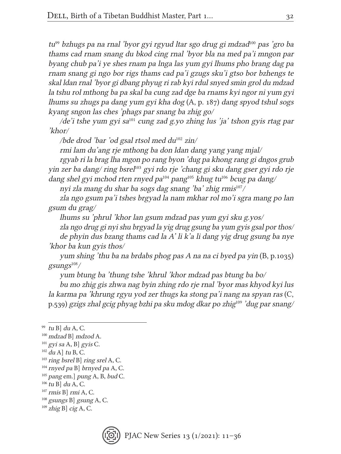tu<sup>99</sup> bzhugs pa na rnal 'byor gyi rgyud ltar sgo drug gi mdzad<sup>100</sup> pas 'gro ba thams cad rnam snang du bkod cing rnal 'byor bla na med pa'i mngon par byang chub pa'i ye shes rnam pa lnga las yum gyi lhums pho brang dag pa rnam snang gi ngo bor rigs thams cad pa'i gzugs sku'i gtso bor bzhengs te skal ldan rnal 'byor gi dbang phyug ri rab kyi rdul snyed smin grol du mdzad la tshu rol mthong ba pa skal ba cung zad dge ba rnams kyi ngor ni yum gyi lhums su zhugs pa dang yum gyi kha dog (A, p. 187) dang spyod tshul sogs kyang sngon las ches 'phags par snang ba zhig go/

/de'i tshe yum gyi sa<sup>101</sup> cung zad g.yo zhing lus 'ja' tshon gyis rtag par 'khor/

/bde drod 'bar 'od gsal rtsol med du<sup>102</sup> zin/

rmi lam du'ang rje mthong ba don ldan dang yang yang mjal/

rgyab ri la brag lha mgon po rang byon 'dug pa khong rang gi dngos grub yin zer ba dang/ ring bsrel<sup>103</sup> gyi rdo rje 'chang gi sku dang gser gyi rdo rje dang shel gyi mchod rten rnyed pa<sup>104</sup> pang<sup>105</sup> khug tu<sup>106</sup> bcug pa dang/

nyi zla mang du shar ba sogs dag snang 'ba' zhig rmis $107/$ 

zla ngo gsum pa'i tshes brgyad la nam mkhar rol mo'i sgra mang po lan gsum du grag/

lhums su 'phrul 'khor lan gsum mdzad pas yum gyi sku g.yos/

zla ngo drug gi nyi shu brgyad la yig drug gsung ba yum gyis gsal por thos/ de phyin dus bzang thams cad la A' li k'a li dang yig drug gsung ba nye 'khor ba kun gyis thos/

yum shing 'thu ba na brdabs phog pas A na na ci byed pa yin (B, p.1035)  $g\text{sum}g^{108}/$ 

yum btung ba 'thung tshe 'khrul 'khor mdzad pas btung ba bo/

bu mo zhig gis zhwa nag byin zhing rdo rje rnal 'byor mas khyod kyi lus la karma pa 'khrung rgyu yod zer thugs ka stong pa'i nang na spyan ras (C, p.539) gzigs zhal gcig phyag bzhi pa sku mdog dkar po zhig<sup>109</sup> 'dug par snang/

 $109$  zhig B] cig A, C.



 $99$  tu B] du A, C.

<sup>100</sup> mdzad B] mdzod A.

 $101$  gyi sa A, B gyis C.

 $102$  du A] tu B, C.

 $103$  ring bsrel B] ring srel A, C.

 $104$  rnyed pa B] brnyed pa A, C.

 $105$  pang em.] pung A, B, bud C.

 $106$  tu B] du A, C.

 $107$  rmis B] rmi A, C.

 $108$  gsungs B] gsung A, C.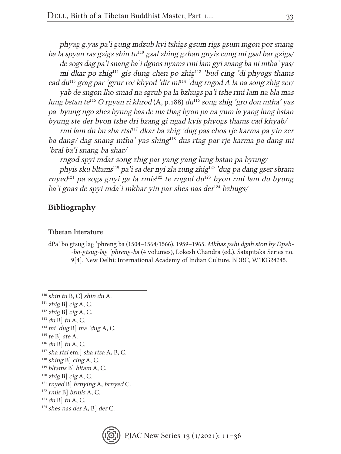phyag g.yas pa'i gung mdzub kyi tshigs gsum rigs gsum mgon por snang ba la spyan ras gzigs shin tu<sup>110</sup> gsal zhing gzhan gnyis cung mi gsal bar gzigs/ de sogs dag pa'i snang ba'i dgnos nyams rmi lam gyi snang ba ni mtha' yas/ mi dkar po zhig $111$  gis dung chen po zhig $112$  'bud cing 'di phyogs thams' cad du<sup>113</sup> grag par 'gyur ro/ khyod 'dir mi<sup>114</sup> 'dug rngod A la na song zhig zer/

yab de sngon lho smad na sgrub pa la bzhugs pa'i tshe rmi lam na bla mas lung bstan te<sup>115</sup> O rgyan ri khrod  $(A, p.188)$  du<sup>116</sup> song zhig 'gro don mtha' yas pa 'byung ngo zhes byung bas de ma thag byon pa na yum la yang lung bstan byung ste der byon tshe dri bzang gi ngad kyis phyogs thams cad khyab/

rmi lam du bu sha rtsi<sup>117</sup> dkar ba zhig 'dug pas chos rje karma pa yin zer ba dang/ dag snang mtha' yas shing<sup>118</sup> dus rtag par rje karma pa dang mi 'bral ba'i snang ba shar/

rngod spyi mdar song zhig par yang yang lung bstan pa byung/

phyis sku bltams<sup>119</sup> pa'i sa der nyi zla zung zhig<sup>120</sup> 'dug pa dang gser sbram rnyed<sup>121</sup> pa sogs gnyi ga la rmis<sup>122</sup> te rngod du<sup>123</sup> byon rmi lam du byung ba'i gnas de spyi mda'i mkhar yin par shes nas der $124$  bzhugs/

#### Bibliography

#### Tibetan literature

dPa' bo gtsug lag 'phreng ba (1504–1564/1566). 1959–1965. Mkhas pahi dgah ston by Dpah- -bo-gtsug-lag 'phreng-ba (4 volumes), Lokesh Chandra (ed.). Śatapiṭaka Series no. 9[4]. New Delhi: International Academy of Indian Culture. BDRC, W1KG24245.

- $111$  zhig B] cig A, C.
- $112$  zhig B] cig A, C.
- $113$  du B] tu A, C.
- $114$  mi 'dug B] ma 'dug A, C.
- $115$  te B] ste A.
- $116$  du B] tu A, C.

- $118$  shing B cing A, C.
- <sup>119</sup> bltams B] bltam A, C.
- $120$  zhig B] cig A, C.
- <sup>121</sup> rnyed B] brnying A, brnyed C.
- $122$  rmis B] brmis A, C.
- $123$  du B] tu A, C.
- $124$  shes nas der A, B] der C.



 $110$  shin tu B, C] shin du A.

<sup>117</sup> sha rtsi em.] sha rtsa A, B, C.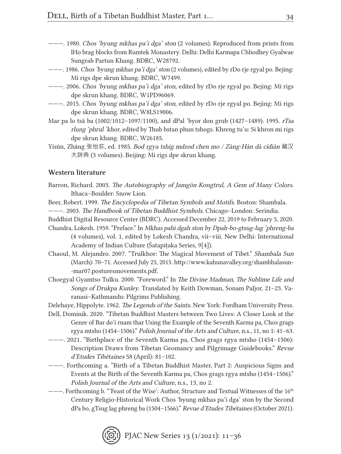- ———. 1980. Chos 'byung mkhas pa'i dga' ston (2 volumes). Reproduced from prints from lHo brag blocks from Rumtek Monastery. Delhi: Delhi Karmapa Chhodhey Gyalwae Sungrab Partun Khang. BDRC, W28792.
- ———. 1986. Chos 'byung mkhas pa'i dga' ston (2 volumes), edited by rDo rje rgyal po. Bejing: Mi rigs dpe skrun khang. BDRC, W7499.
- ———. 2006. Chos 'byung mkhas pa'i dga' ston, edited by rDo rje rgyal po. Bejing: Mi rigs dpe skrun khang. BDRC, W1PD96069.
- ———. 2015. Chos 'byung mkhas pa'i dga' ston, edited by rDo rje rgyal po. Bejing: Mi rigs dpe skrun khang. BDRC, W8LS19006.
- Mar pa lo tsā ba (1002/1012–1097/1100), and dPal 'byor don grub (1427–1489). 1995. rTsa rlung 'phrul 'khor, edited by Thub bstan phun tshogs. Khreng tu'u: Si khron mi rigs dpe skrun khang. BDRC, W26185.
- Yísūn, Zhāng 张怡荪, ed. 1985. Bod rgya tshig mdzod chen mo / Zàng-Hàn dà cídiǎn 藏汉 大辞典 (3 volumes). Beijing: Mi rigs dpe skrun khang.

#### Western literature

- Barron, Richard. 2003. The Autobiography of Jamgön Kongtrul, A Gem of Many Colors. Ithaca–Boulder: Snow Lion.
- Beer, Robert. 1999. The Encyclopedia of Tibetan Symbols and Motifs. Boston: Shambala.
- ———. 2003. The Handbook of Tibetan Buddhist Symbols. Chicago–London: Serindia.
- Buddhist Digital Resource Center (BDRC). Accessed December 22, 2019 to February 5, 2020.
- Chandra, Lokesh. 1959. "Preface." In Mkhas pahi dgah ston by Dpah-bo-gtsug-lag 'phreng-ba (4 volumes), vol. 1, edited by Lokesh Chandra, vii–viii. New Delhi: International Academy of Indian Culture (Śatapitaka Series, 9[4]).
- Chaoul, M. Alejandro. 2007. "Trulkhor: The Magical Movement of Tibet." Shambala Sun (March): 70–71. Accessed July 25, 2015. http://www.kahunavalley.org/shambhalasun- -mar07.posturesmovements.pdf.
- Choegyal Gyamtso Tulku. 2000. "Foreword." In The Divine Madman, The Sublime Life and Songs of Drukpa Kunley. Translated by Keith Dowman, Sonam Paljor, 21–23. Varanasi–Kathmandu: Pilgrims Publishing.
- Delehaye, Hippolyte. 1962. The Legends of the Saints. New York: Fordham University Press.
- Dell, Dominik. 2020. "Tibetan Buddhist Masters between Two Lives: A Closer Look at the Genre of Bar do'i rnam thar Using the Example of the Seventh Karma pa, Chos grags rgya mtsho (1454–1506)." Polish Journal of the Arts and Culture, n.s., 11, no 1: 41–63.
- ———. 2021. "Birthplace of the Seventh Karma pa, Chos grags rgya mtsho (1454–1506): Description Draws from Tibetan Geomancy and Pilgrimage Guidebooks." Revue d'Etudes Tibétaines 58 (April): 81–102.
- ———. Forthcoming a. "Birth of a Tibetan Buddhist Master, Part 2: Auspicious Signs and Events at the Birth of the Seventh Karma pa, Chos grags rgya mtsho (1454–1506)." Polish Journal of the Arts and Culture, n.s., 13, no 2.
- --- Forthcoming b. "'Feast of the Wise': Author, Structure and Textual Witnesses of the 16<sup>th</sup> Century Religio-Historical Work Chos 'byung mkhas pa'i dga' ston by the Second dPa bo, gTsug lag phreng ba (1504–1566)." Revue d'Etudes Tibétaines (October 2021).

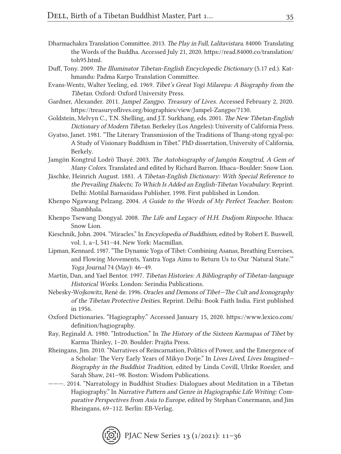- Dharmachakra Translation Committee. 2013. The Play in Full, Lalitavistara. 84000: Translating the Words of the Buddha. Accessed July 21, 2020. https://read.84000.co/translation/ toh95.html.
- Duff, Tony. 2009. The Illuminator Tibetan-English Encyclopedic Dictionary (5.17 ed.). Kathmandu: Padma Karpo Translation Committee.
- Evans-Wentz, Walter Yeeling, ed. 1969. Tibet's Great Yogi Milarepa: A Biography from the Tibetan. Oxford: Oxford University Press.
- Gardner, Alexander. 2011. Jampel Zangpo. Treasury of Lives. Accessed February 2, 2020. https://treasuryoflives.org/biographies/view/Jampel-Zangpo/7130.
- Goldstein, Melvyn C., T.N. Shelling, and J.T. Surkhang, eds. 2001. The New Tibetan-English Dictionary of Modern Tibetan. Berkeley (Los Angeles): University of California Press.
- Gyatso, Janet. 1981. "The Literary Transmission of the Traditions of Thang-stong rgyal-po: A Study of Visionary Buddhism in Tibet." PhD dissertation, University of California, Berkely.
- Jamgön Kongtrul Lodrö Thayé. 2003. The Autobiography of Jamgön Kongtrul, A Gem of Many Colors. Translated and edited by Richard Barron. Ithaca–Boulder: Snow Lion.
- Jäschke, Heinrich August. 1881. A Tibetan-English Dictionary: With Special Reference to the Prevailing Dialects; To Which Is Added an English-Tibetan Vocabulary. Reprint. Delhi: Motilal Barnasidass Publisher, 1998. First published in London.
- Khenpo Ngawang Pelzang. 2004. A Guide to the Words of My Perfect Teacher. Boston: Shambhala.
- Khenpo Tsewang Dongyal. 2008. The Life and Legacy of H.H. Dudjom Rinpoche. Ithaca: Snow Lion.
- Kieschnik, John. 2004. "Miracles." In Encyclopedia of Buddhism, edited by Robert E. Buswell, vol. 1, a–l, 541–44. New York: Macmillan.
- Lipman, Kennard. 1987. "The Dynamic Yoga of Tibet: Combining Asanas, Breathing Exercises, and Flowing Movements, Yantra Yoga Aims to Return Us to Our 'Natural State.'" Yoga Journal 74 (May): 46–49.
- Martin, Dan, and Yael Bentor. 1997. Tibetan Histories: A Bibliography of Tibetan-language Historical Works. London: Serindia Publications.
- Nebesky-Wojkowitz, René de. 1996. Oracles and Demons of Tibet—The Cult and Iconography of the Tibetan Protective Deities. Reprint. Delhi: Book Faith India. First published in 1956.
- Oxford Dictionaries. "Hagiography." Accessed January 15, 2020. https://www.lexico.com/ definition/hagiography.
- Ray, Reginald A. 1980. "Introduction." In The History of the Sixteen Karmapas of Tibet by Karma Thinley, 1–20. Boulder: Prajña Press.
- Rheingans, Jim. 2010. "Narratives of Reincarnation, Politics of Power, and the Emergence of a Scholar: The Very Early Years of Mikyo Dorje." In Lives Lived, Lives Imagined— Biography in the Buddhist Tradition, edited by Linda Covill, Ulrike Roesler, and Sarah Shaw, 241–98. Boston: Wisdom Publications.
- ———. 2014. "Narratology in Buddhist Studies: Dialogues about Meditation in a Tibetan Hagiography." In Narrative Pattern and Genre in Hagiographic Life Writing: Comparative Perspectives from Asia to Europe, edited by Stephan Conermann, and Jim Rheingans, 69–112. Berlin: EB-Verlag.